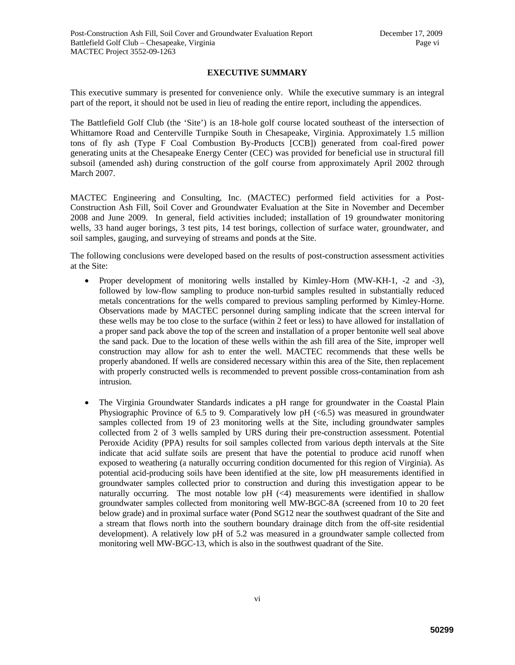## **EXECUTIVE SUMMARY**

This executive summary is presented for convenience only. While the executive summary is an integral part of the report, it should not be used in lieu of reading the entire report, including the appendices.

The Battlefield Golf Club (the 'Site') is an 18-hole golf course located southeast of the intersection of Whittamore Road and Centerville Turnpike South in Chesapeake, Virginia. Approximately 1.5 million tons of fly ash (Type F Coal Combustion By-Products [CCB]) generated from coal-fired power generating units at the Chesapeake Energy Center (CEC) was provided for beneficial use in structural fill subsoil (amended ash) during construction of the golf course from approximately April 2002 through March 2007.

MACTEC Engineering and Consulting, Inc. (MACTEC) performed field activities for a Post-Construction Ash Fill, Soil Cover and Groundwater Evaluation at the Site in November and December 2008 and June 2009. In general, field activities included; installation of 19 groundwater monitoring wells, 33 hand auger borings, 3 test pits, 14 test borings, collection of surface water, groundwater, and soil samples, gauging, and surveying of streams and ponds at the Site.

The following conclusions were developed based on the results of post-construction assessment activities at the Site:

- Proper development of monitoring wells installed by Kimley-Horn (MW-KH-1, -2 and -3), followed by low-flow sampling to produce non-turbid samples resulted in substantially reduced metals concentrations for the wells compared to previous sampling performed by Kimley-Horne. Observations made by MACTEC personnel during sampling indicate that the screen interval for these wells may be too close to the surface (within 2 feet or less) to have allowed for installation of a proper sand pack above the top of the screen and installation of a proper bentonite well seal above the sand pack. Due to the location of these wells within the ash fill area of the Site, improper well construction may allow for ash to enter the well. MACTEC recommends that these wells be properly abandoned. If wells are considered necessary within this area of the Site, then replacement with properly constructed wells is recommended to prevent possible cross-contamination from ash intrusion.
- The Virginia Groundwater Standards indicates a pH range for groundwater in the Coastal Plain Physiographic Province of 6.5 to 9. Comparatively low pH  $\ll 6.5$  was measured in groundwater samples collected from 19 of 23 monitoring wells at the Site, including groundwater samples collected from 2 of 3 wells sampled by URS during their pre-construction assessment. Potential Peroxide Acidity (PPA) results for soil samples collected from various depth intervals at the Site indicate that acid sulfate soils are present that have the potential to produce acid runoff when exposed to weathering (a naturally occurring condition documented for this region of Virginia). As potential acid-producing soils have been identified at the site, low pH measurements identified in groundwater samples collected prior to construction and during this investigation appear to be naturally occurring. The most notable low  $pH$  ( $\lt 4$ ) measurements were identified in shallow groundwater samples collected from monitoring well MW-BGC-8A (screened from 10 to 20 feet below grade) and in proximal surface water (Pond SG12 near the southwest quadrant of the Site and a stream that flows north into the southern boundary drainage ditch from the off-site residential development). A relatively low pH of 5.2 was measured in a groundwater sample collected from monitoring well MW-BGC-13, which is also in the southwest quadrant of the Site.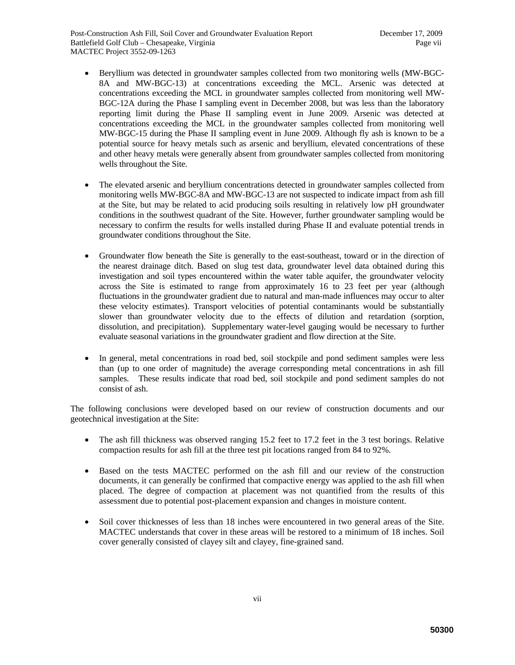- Beryllium was detected in groundwater samples collected from two monitoring wells (MW-BGC-8A and MW-BGC-13) at concentrations exceeding the MCL. Arsenic was detected at concentrations exceeding the MCL in groundwater samples collected from monitoring well MW-BGC-12A during the Phase I sampling event in December 2008, but was less than the laboratory reporting limit during the Phase II sampling event in June 2009. Arsenic was detected at concentrations exceeding the MCL in the groundwater samples collected from monitoring well MW-BGC-15 during the Phase II sampling event in June 2009. Although fly ash is known to be a potential source for heavy metals such as arsenic and beryllium, elevated concentrations of these and other heavy metals were generally absent from groundwater samples collected from monitoring wells throughout the Site.
- The elevated arsenic and beryllium concentrations detected in groundwater samples collected from monitoring wells MW-BGC-8A and MW-BGC-13 are not suspected to indicate impact from ash fill at the Site, but may be related to acid producing soils resulting in relatively low pH groundwater conditions in the southwest quadrant of the Site. However, further groundwater sampling would be necessary to confirm the results for wells installed during Phase II and evaluate potential trends in groundwater conditions throughout the Site.
- Groundwater flow beneath the Site is generally to the east-southeast, toward or in the direction of the nearest drainage ditch. Based on slug test data, groundwater level data obtained during this investigation and soil types encountered within the water table aquifer, the groundwater velocity across the Site is estimated to range from approximately 16 to 23 feet per year (although fluctuations in the groundwater gradient due to natural and man-made influences may occur to alter these velocity estimates). Transport velocities of potential contaminants would be substantially slower than groundwater velocity due to the effects of dilution and retardation (sorption, dissolution, and precipitation). Supplementary water-level gauging would be necessary to further evaluate seasonal variations in the groundwater gradient and flow direction at the Site.
- In general, metal concentrations in road bed, soil stockpile and pond sediment samples were less than (up to one order of magnitude) the average corresponding metal concentrations in ash fill samples. These results indicate that road bed, soil stockpile and pond sediment samples do not consist of ash.

The following conclusions were developed based on our review of construction documents and our geotechnical investigation at the Site:

- The ash fill thickness was observed ranging 15.2 feet to 17.2 feet in the 3 test borings. Relative compaction results for ash fill at the three test pit locations ranged from 84 to 92%.
- Based on the tests MACTEC performed on the ash fill and our review of the construction documents, it can generally be confirmed that compactive energy was applied to the ash fill when placed. The degree of compaction at placement was not quantified from the results of this assessment due to potential post-placement expansion and changes in moisture content.
- Soil cover thicknesses of less than 18 inches were encountered in two general areas of the Site. MACTEC understands that cover in these areas will be restored to a minimum of 18 inches. Soil cover generally consisted of clayey silt and clayey, fine-grained sand.